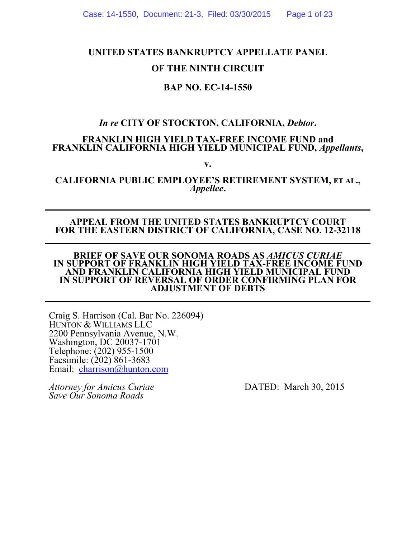# **UNITED STATES BANKRUPTCY APPELLATE PANEL OF THE NINTH CIRCUIT**

#### **BAP NO. EC-14-1550**

#### *In re* **CITY OF STOCKTON, CALIFORNIA,** *Debtor***.**

#### **FRANKLIN HIGH YIELD TAX-FREE INCOME FUND and FRANKLIN CALIFORNIA HIGH YIELD MUNICIPAL FUND,** *Appellants***,**

**v.** 

#### **CALIFORNIA PUBLIC EMPLOYEE'S RETIREMENT SYSTEM, ET AL.,**  *Appellee***.**

#### **APPEAL FROM THE UNITED STATES BANKRUPTCY COURT FOR THE EASTERN DISTRICT OF CALIFORNIA, CASE NO. 12-32118**

#### **BRIEF OF SAVE OUR SONOMA ROADS AS** *AMICUS CURIAE* **IN SUPPORT OF FRANKLIN HIGH YIELD TAX-FREE INCOME FUND AND FRANKLIN CALIFORNIA HIGH YIELD MUNICIPAL FUND IN SUPPORT OF REVERSAL OF ORDER CONFIRMING PLAN FOR ADJUSTMENT OF DEBTS**

Craig S. Harrison (Cal. Bar No. 226094) HUNTON & WILLIAMS LLC 2200 Pennsylvania Avenue, N.W. Washington, DC 20037-1701 Telephone: (202) 955-1500 Facsimile: (202) 861-3683 Email: charrison@hunton.com

*Save Our Sonoma Roads* 

*Attorney for Amicus Curiae* **DATED:** March 30, 2015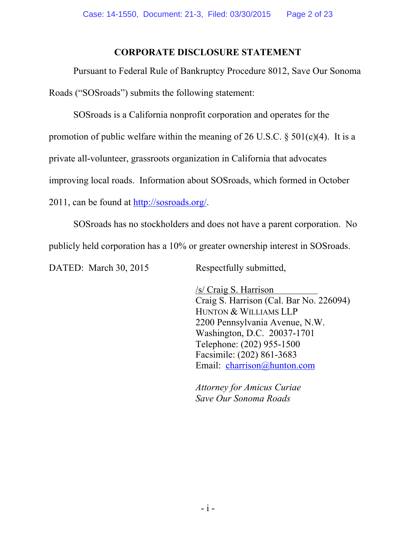#### **CORPORATE DISCLOSURE STATEMENT**

 Pursuant to Federal Rule of Bankruptcy Procedure 8012, Save Our Sonoma Roads ("SOSroads") submits the following statement:

SOSroads is a California nonprofit corporation and operates for the promotion of public welfare within the meaning of 26 U.S.C.  $\S$  501(c)(4). It is a private all-volunteer, grassroots organization in California that advocates improving local roads. Information about SOSroads, which formed in October 2011, can be found at http://sosroads.org/.

 SOSroads has no stockholders and does not have a parent corporation. No publicly held corporation has a 10% or greater ownership interest in SOSroads. DATED: March 30, 2015 Respectfully submitted,

/s/ Craig S. Harrison Craig S. Harrison (Cal. Bar No. 226094) HUNTON & WILLIAMS LLP 2200 Pennsylvania Avenue, N.W. Washington, D.C. 20037-1701 Telephone: (202) 955-1500 Facsimile: (202) 861-3683 Email: charrison@hunton.com

 *Attorney for Amicus Curiae Save Our Sonoma Roads*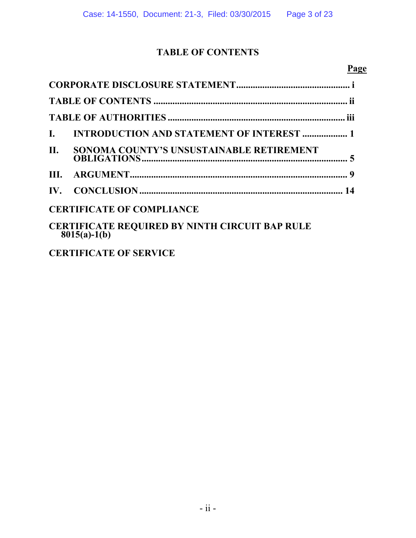## **TABLE OF CONTENTS**

# **Page**

|    | I. INTRODUCTION AND STATEMENT OF INTEREST  1                            |  |
|----|-------------------------------------------------------------------------|--|
| П. | SONOMA COUNTY'S UNSUSTAINABLE RETIREMENT                                |  |
|    |                                                                         |  |
|    |                                                                         |  |
|    | <b>CERTIFICATE OF COMPLIANCE</b>                                        |  |
|    | <b>CERTIFICATE REQUIRED BY NINTH CIRCUIT BAP RULE</b><br>$8015(a)-1(b)$ |  |

## **CERTIFICATE OF SERVICE**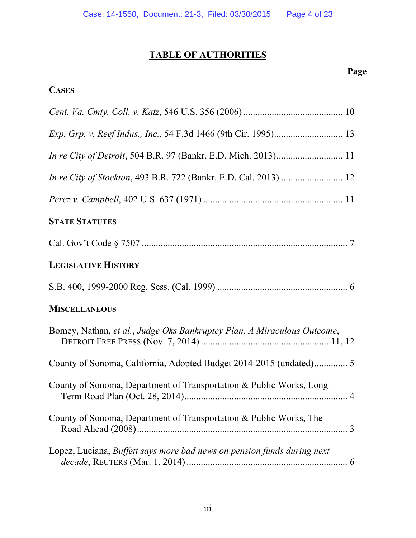# **TABLE OF AUTHORITIES**

## **Page**

## **CASES**

| <b>STATE STATUTES</b>                                                   |
|-------------------------------------------------------------------------|
|                                                                         |
| <b>LEGISLATIVE HISTORY</b>                                              |
|                                                                         |
| <b>MISCELLANEOUS</b>                                                    |
| Bomey, Nathan, et al., Judge Oks Bankruptcy Plan, A Miraculous Outcome, |
| County of Sonoma, California, Adopted Budget 2014-2015 (undated) 5      |
| County of Sonoma, Department of Transportation & Public Works, Long-    |
| County of Sonoma, Department of Transportation & Public Works, The      |
| Lopez, Luciana, Buffett says more bad news on pension funds during next |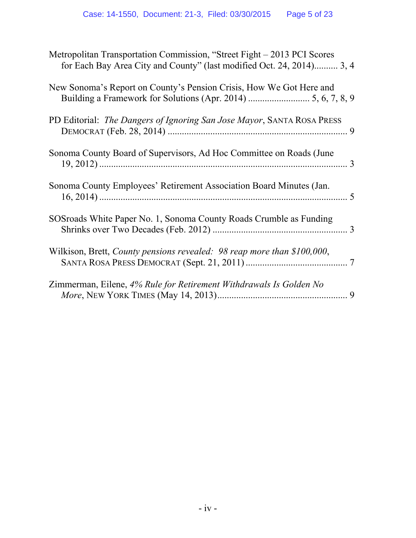| Metropolitan Transportation Commission, "Street Fight – 2013 PCI Scores"<br>for Each Bay Area City and County" (last modified Oct. 24, 2014) 3, 4 |
|---------------------------------------------------------------------------------------------------------------------------------------------------|
| New Sonoma's Report on County's Pension Crisis, How We Got Here and                                                                               |
| PD Editorial: The Dangers of Ignoring San Jose Mayor, SANTA ROSA PRESS                                                                            |
| Sonoma County Board of Supervisors, Ad Hoc Committee on Roads (June                                                                               |
| Sonoma County Employees' Retirement Association Board Minutes (Jan.                                                                               |
| SOSroads White Paper No. 1, Sonoma County Roads Crumble as Funding                                                                                |
| Wilkison, Brett, County pensions revealed: 98 reap more than \$100,000,                                                                           |
| Zimmerman, Eilene, 4% Rule for Retirement Withdrawals Is Golden No                                                                                |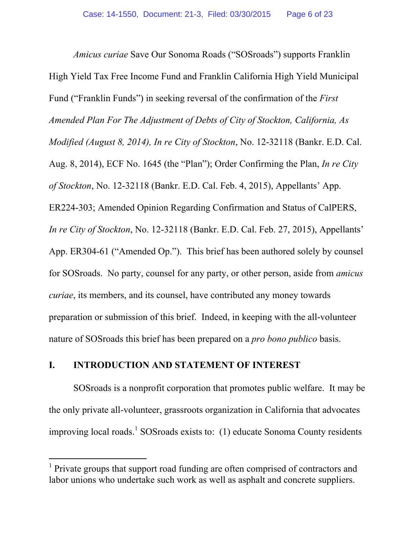*Amicus curiae* Save Our Sonoma Roads ("SOSroads") supports Franklin High Yield Tax Free Income Fund and Franklin California High Yield Municipal Fund ("Franklin Funds") in seeking reversal of the confirmation of the *First Amended Plan For The Adjustment of Debts of City of Stockton, California, As Modified (August 8, 2014), In re City of Stockton*, No. 12-32118 (Bankr. E.D. Cal. Aug. 8, 2014), ECF No. 1645 (the "Plan"); Order Confirming the Plan, *In re City of Stockton*, No. 12-32118 (Bankr. E.D. Cal. Feb. 4, 2015), Appellants' App. ER224-303; Amended Opinion Regarding Confirmation and Status of CalPERS, *In re City of Stockton*, No. 12-32118 (Bankr. E.D. Cal. Feb. 27, 2015), Appellants' App. ER304-61 ("Amended Op."). This brief has been authored solely by counsel for SOSroads. No party, counsel for any party, or other person, aside from *amicus curiae*, its members, and its counsel, have contributed any money towards preparation or submission of this brief. Indeed, in keeping with the all-volunteer nature of SOSroads this brief has been prepared on a *pro bono publico* basis.

#### **I. INTRODUCTION AND STATEMENT OF INTEREST**

 $\overline{a}$ 

SOSroads is a nonprofit corporation that promotes public welfare. It may be the only private all-volunteer, grassroots organization in California that advocates improving local roads.<sup>1</sup> SOSroads exists to: (1) educate Sonoma County residents

<sup>&</sup>lt;sup>1</sup> Private groups that support road funding are often comprised of contractors and labor unions who undertake such work as well as asphalt and concrete suppliers.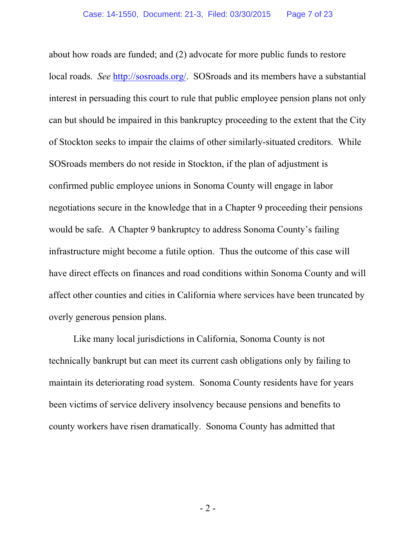about how roads are funded; and (2) advocate for more public funds to restore local roads. *See* http://sosroads.org/. SOSroads and its members have a substantial interest in persuading this court to rule that public employee pension plans not only can but should be impaired in this bankruptcy proceeding to the extent that the City of Stockton seeks to impair the claims of other similarly-situated creditors. While SOSroads members do not reside in Stockton, if the plan of adjustment is confirmed public employee unions in Sonoma County will engage in labor negotiations secure in the knowledge that in a Chapter 9 proceeding their pensions would be safe. A Chapter 9 bankruptcy to address Sonoma County's failing infrastructure might become a futile option. Thus the outcome of this case will have direct effects on finances and road conditions within Sonoma County and will affect other counties and cities in California where services have been truncated by overly generous pension plans.

Like many local jurisdictions in California, Sonoma County is not technically bankrupt but can meet its current cash obligations only by failing to maintain its deteriorating road system. Sonoma County residents have for years been victims of service delivery insolvency because pensions and benefits to county workers have risen dramatically. Sonoma County has admitted that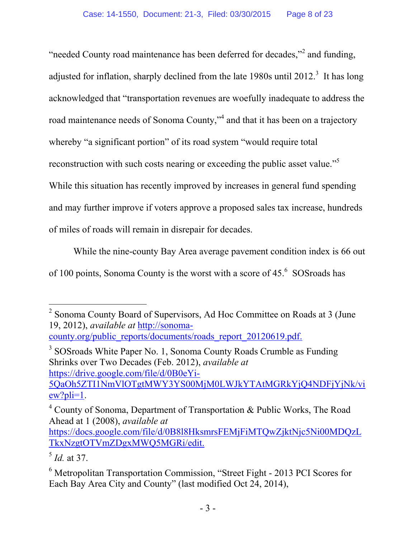"needed County road maintenance has been deferred for decades,"<sup>2</sup> and funding, adjusted for inflation, sharply declined from the late 1980s until  $2012$ <sup>3</sup>. It has long acknowledged that "transportation revenues are woefully inadequate to address the road maintenance needs of Sonoma County,"<sup>4</sup> and that it has been on a trajectory whereby "a significant portion" of its road system "would require total reconstruction with such costs nearing or exceeding the public asset value."<sup>5</sup> While this situation has recently improved by increases in general fund spending and may further improve if voters approve a proposed sales tax increase, hundreds of miles of roads will remain in disrepair for decades.

While the nine-county Bay Area average pavement condition index is 66 out of 100 points, Sonoma County is the worst with a score of 45.<sup>6</sup> SOSroads has

<sup>3</sup> SOSroads White Paper No. 1, Sonoma County Roads Crumble as Funding Shrinks over Two Decades (Feb. 2012), *available at*  https://drive.google.com/file/d/0B0eYi-5QaOh5ZTI1NmVlOTgtMWY3YS00MjM0LWJkYTAtMGRkYjQ4NDFjYjNk/vi ew?pli=1.

5  *Id.* at 37.

-

 $2^2$  Sonoma County Board of Supervisors, Ad Hoc Committee on Roads at 3 (June 19, 2012), *available at* http://sonomacounty.org/public\_reports/documents/roads\_report\_20120619.pdf.

 $4$  County of Sonoma, Department of Transportation & Public Works, The Road Ahead at 1 (2008), *available at*

https://docs.google.com/file/d/0B8l8HksmrsFEMjFiMTQwZjktNjc5Ni00MDQzL TkxNzgtOTVmZDgxMWQ5MGRi/edit.

<sup>6</sup> Metropolitan Transportation Commission, "Street Fight - 2013 PCI Scores for Each Bay Area City and County" (last modified Oct 24, 2014),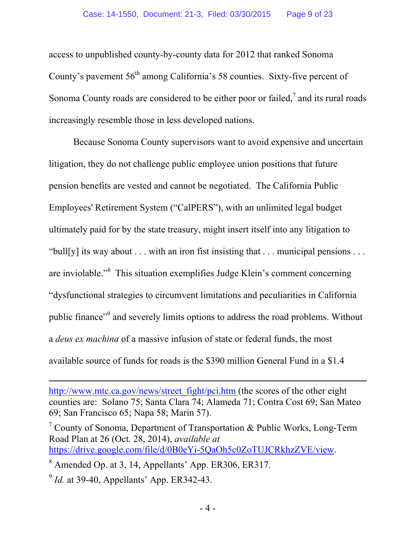access to unpublished county-by-county data for 2012 that ranked Sonoma County's pavement  $56<sup>th</sup>$  among California's 58 counties. Sixty-five percent of Sonoma County roads are considered to be either poor or failed, $\alpha$  and its rural roads increasingly resemble those in less developed nations.

Because Sonoma County supervisors want to avoid expensive and uncertain litigation, they do not challenge public employee union positions that future pension benefits are vested and cannot be negotiated. The California Public Employees' Retirement System ("CalPERS"), with an unlimited legal budget ultimately paid for by the state treasury, might insert itself into any litigation to "bull[y] its way about . . . with an iron fist insisting that  $\dots$  municipal pensions  $\dots$ are inviolable."<sup>8</sup> This situation exemplifies Judge Klein's comment concerning "dysfunctional strategies to circumvent limitations and peculiarities in California public finance<sup>"9</sup> and severely limits options to address the road problems. Without a *deus ex machina* of a massive infusion of state or federal funds, the most available source of funds for roads is the \$390 million General Fund in a \$1.4

http://www.mtc.ca.gov/news/street\_fight/pci.htm (the scores of the other eight) counties are: Solano 75; Santa Clara 74; Alameda 71; Contra Cost 69; San Mateo 69; San Francisco 65; Napa 58; Marin 57).

<sup>7</sup> County of Sonoma, Department of Transportation & Public Works, Long-Term Road Plan at 26 (Oct. 28, 2014), *available at* https://drive.google.com/file/d/0B0eYi-5QaOh5c0ZoTUJCRkhzZVE/view.

 $\frac{9}{9}$  *Id.* at 39-40, Appellants' App. ER342-43.

 $8$  Amended Op. at 3, 14, Appellants' App. ER306, ER317.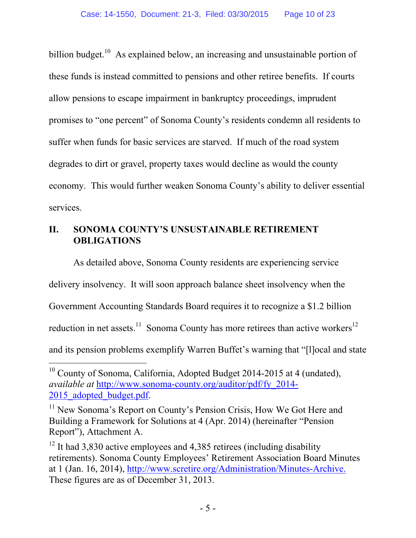billion budget.<sup>10</sup> As explained below, an increasing and unsustainable portion of these funds is instead committed to pensions and other retiree benefits. If courts allow pensions to escape impairment in bankruptcy proceedings, imprudent promises to "one percent" of Sonoma County's residents condemn all residents to suffer when funds for basic services are starved. If much of the road system degrades to dirt or gravel, property taxes would decline as would the county economy. This would further weaken Sonoma County's ability to deliver essential services.

## **II. SONOMA COUNTY'S UNSUSTAINABLE RETIREMENT OBLIGATIONS**

As detailed above, Sonoma County residents are experiencing service

delivery insolvency. It will soon approach balance sheet insolvency when the

Government Accounting Standards Board requires it to recognize a \$1.2 billion

reduction in net assets.<sup>11</sup> Sonoma County has more retirees than active workers<sup>12</sup>

and its pension problems exemplify Warren Buffet's warning that "[l]ocal and state

 $10$  County of Sonoma, California, Adopted Budget 2014-2015 at 4 (undated), *available at* http://www.sonoma-county.org/auditor/pdf/fy\_2014- 2015 adopted budget.pdf.

<sup>&</sup>lt;sup>11</sup> New Sonoma's Report on County's Pension Crisis, How We Got Here and Building a Framework for Solutions at 4 (Apr. 2014) (hereinafter "Pension Report"), Attachment A.

 $12$  It had 3,830 active employees and 4,385 retirees (including disability retirements). Sonoma County Employees' Retirement Association Board Minutes at 1 (Jan. 16, 2014), http://www.scretire.org/Administration/Minutes-Archive. These figures are as of December 31, 2013.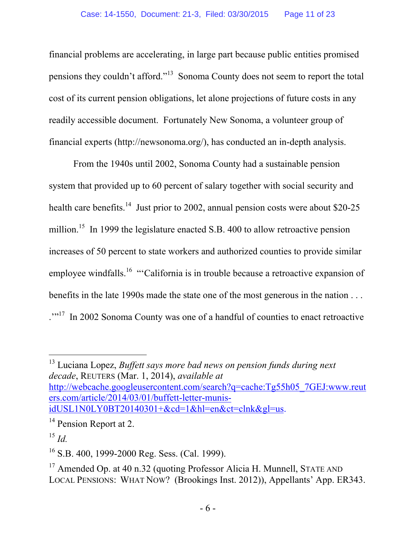financial problems are accelerating, in large part because public entities promised pensions they couldn't afford."13 Sonoma County does not seem to report the total cost of its current pension obligations, let alone projections of future costs in any readily accessible document. Fortunately New Sonoma, a volunteer group of financial experts (http://newsonoma.org/), has conducted an in-depth analysis.

From the 1940s until 2002, Sonoma County had a sustainable pension system that provided up to 60 percent of salary together with social security and health care benefits.<sup>14</sup> Just prior to 2002, annual pension costs were about \$20-25 million.<sup>15</sup> In 1999 the legislature enacted S.B. 400 to allow retroactive pension increases of 50 percent to state workers and authorized counties to provide similar employee windfalls.<sup>16</sup> "California is in trouble because a retroactive expansion of benefits in the late 1990s made the state one of the most generous in the nation . . . ...<sup>17</sup> In 2002 Sonoma County was one of a handful of counties to enact retroactive

<sup>13</sup> Luciana Lopez, *Buffett says more bad news on pension funds during next decade*, REUTERS (Mar. 1, 2014), *available at*  http://webcache.googleusercontent.com/search?q=cache:Tg55h05\_7GEJ:www.reut ers.com/article/2014/03/01/buffett-letter-munisidUSL1N0LY0BT20140301+&cd=1&hl=en&ct=clnk&gl=us.

<sup>&</sup>lt;sup>14</sup> Pension Report at 2.

 $^{15}$  *Id.* 

 $^{16}$  S.B. 400, 1999-2000 Reg. Sess. (Cal. 1999).

<sup>&</sup>lt;sup>17</sup> Amended Op. at 40 n.32 (quoting Professor Alicia H. Munnell, STATE AND LOCAL PENSIONS: WHAT NOW? (Brookings Inst. 2012)), Appellants' App. ER343.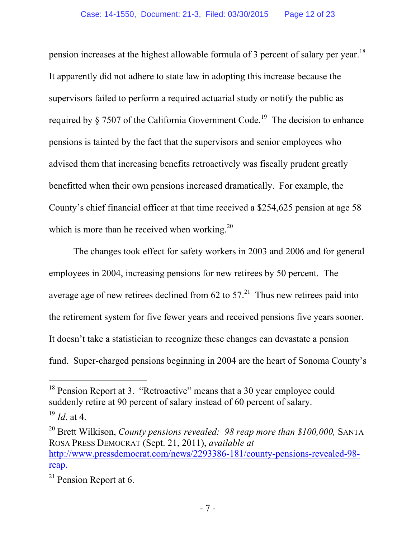pension increases at the highest allowable formula of 3 percent of salary per year.18 It apparently did not adhere to state law in adopting this increase because the supervisors failed to perform a required actuarial study or notify the public as required by  $\S$  7507 of the California Government Code.<sup>19</sup> The decision to enhance pensions is tainted by the fact that the supervisors and senior employees who advised them that increasing benefits retroactively was fiscally prudent greatly benefitted when their own pensions increased dramatically. For example, the County's chief financial officer at that time received a \$254,625 pension at age 58 which is more than he received when working. $^{20}$ 

The changes took effect for safety workers in 2003 and 2006 and for general employees in 2004, increasing pensions for new retirees by 50 percent. The average age of new retirees declined from 62 to  $57<sup>21</sup>$  Thus new retirees paid into the retirement system for five fewer years and received pensions five years sooner. It doesn't take a statistician to recognize these changes can devastate a pension fund. Super-charged pensions beginning in 2004 are the heart of Sonoma County's

<sup>&</sup>lt;sup>18</sup> Pension Report at 3. "Retroactive" means that a 30 year employee could suddenly retire at 90 percent of salary instead of 60 percent of salary.

<sup>19</sup> *Id*. at 4.

<sup>&</sup>lt;sup>20</sup> Brett Wilkison, *County pensions revealed: 98 reap more than \$100,000,* SANTA ROSA PRESS DEMOCRAT (Sept. 21, 2011), *available at*  http://www.pressdemocrat.com/news/2293386-181/county-pensions-revealed-98 reap.

 $21$  Pension Report at 6.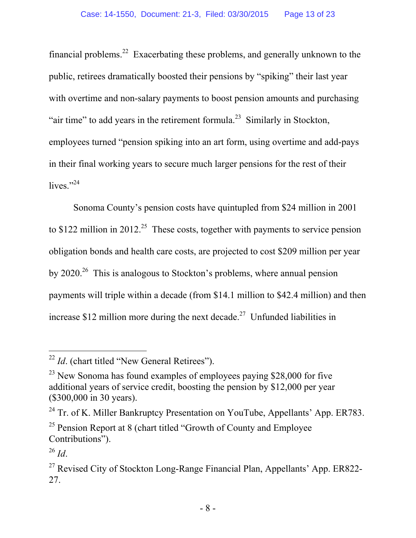financial problems.22 Exacerbating these problems, and generally unknown to the public, retirees dramatically boosted their pensions by "spiking" their last year with overtime and non-salary payments to boost pension amounts and purchasing "air time" to add years in the retirement formula.<sup>23</sup> Similarly in Stockton, employees turned "pension spiking into an art form, using overtime and add-pays in their final working years to secure much larger pensions for the rest of their lives." $^{324}$ 

Sonoma County's pension costs have quintupled from \$24 million in 2001 to \$122 million in 2012.<sup>25</sup> These costs, together with payments to service pension obligation bonds and health care costs, are projected to cost \$209 million per year by  $2020^{26}$  This is analogous to Stockton's problems, where annual pension payments will triple within a decade (from \$14.1 million to \$42.4 million) and then increase  $$12$  million more during the next decade.<sup>27</sup> Unfunded liabilities in

<sup>&</sup>lt;sup>22</sup> *Id.* (chart titled "New General Retirees").

 $^{23}$  New Sonoma has found examples of employees paying \$28,000 for five additional years of service credit, boosting the pension by \$12,000 per year (\$300,000 in 30 years).

 $24$  Tr. of K. Miller Bankruptcy Presentation on YouTube, Appellants' App. ER783.

<sup>&</sup>lt;sup>25</sup> Pension Report at 8 (chart titled "Growth of County and Employee Contributions").

 $^{26}$  *Id*.

<sup>&</sup>lt;sup>27</sup> Revised City of Stockton Long-Range Financial Plan, Appellants' App. ER822-27.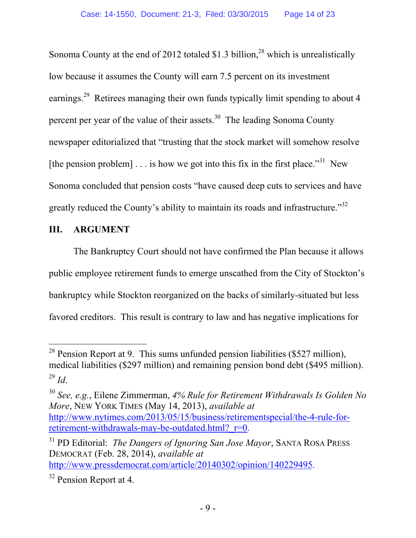Sonoma County at the end of 2012 totaled \$1.3 billion,<sup>28</sup> which is unrealistically low because it assumes the County will earn 7.5 percent on its investment earnings.<sup>29</sup> Retirees managing their own funds typically limit spending to about 4 percent per year of the value of their assets.<sup>30</sup> The leading Sonoma County newspaper editorialized that "trusting that the stock market will somehow resolve [the pension problem]  $\ldots$  is how we got into this fix in the first place.<sup>331</sup> New Sonoma concluded that pension costs "have caused deep cuts to services and have greatly reduced the County's ability to maintain its roads and infrastructure.<sup>32</sup>

### **III. ARGUMENT**

The Bankruptcy Court should not have confirmed the Plan because it allows public employee retirement funds to emerge unscathed from the City of Stockton's bankruptcy while Stockton reorganized on the backs of similarly-situated but less favored creditors. This result is contrary to law and has negative implications for

<sup>-</sup><sup>28</sup> Pension Report at 9. This sums unfunded pension liabilities (\$527 million), medical liabilities (\$297 million) and remaining pension bond debt (\$495 million).  $^{29}$  *Id*.

<sup>30</sup> *See, e.g.*, Eilene Zimmerman, *4% Rule for Retirement Withdrawals Is Golden No More*, NEW YORK TIMES (May 14, 2013), *available at* http://www.nytimes.com/2013/05/15/business/retirementspecial/the-4-rule-forretirement-withdrawals-may-be-outdated.html? r=0.

<sup>31</sup> PD Editorial: *The Dangers of Ignoring San Jose Mayor*, SANTA ROSA PRESS DEMOCRAT (Feb. 28, 2014), *available at*  http://www.pressdemocrat.com/article/20140302/opinion/140229495.

<sup>&</sup>lt;sup>32</sup> Pension Report at 4.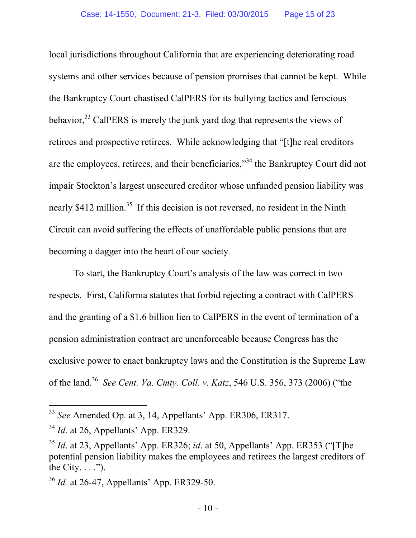local jurisdictions throughout California that are experiencing deteriorating road systems and other services because of pension promises that cannot be kept. While the Bankruptcy Court chastised CalPERS for its bullying tactics and ferocious behavior,<sup>33</sup> CalPERS is merely the junk yard dog that represents the views of retirees and prospective retirees. While acknowledging that "[t]he real creditors are the employees, retirees, and their beneficiaries,"34 the Bankruptcy Court did not impair Stockton's largest unsecured creditor whose unfunded pension liability was nearly \$412 million.<sup>35</sup> If this decision is not reversed, no resident in the Ninth Circuit can avoid suffering the effects of unaffordable public pensions that are becoming a dagger into the heart of our society*.*

To start, the Bankruptcy Court's analysis of the law was correct in two respects. First, California statutes that forbid rejecting a contract with CalPERS and the granting of a \$1.6 billion lien to CalPERS in the event of termination of a pension administration contract are unenforceable because Congress has the exclusive power to enact bankruptcy laws and the Constitution is the Supreme Law of the land.36 *See Cent. Va. Cmty. Coll. v. Katz*, 546 U.S. 356, 373 (2006) ("the

<sup>33</sup> *See* Amended Op. at 3, 14, Appellants' App. ER306, ER317.

<sup>&</sup>lt;sup>34</sup> *Id.* at 26, Appellants' App. ER329.

<sup>35</sup> *Id*. at 23, Appellants' App. ER326; *id*. at 50, Appellants' App. ER353 ("[T]he potential pension liability makes the employees and retirees the largest creditors of the City.  $\ldots$ ").

<sup>36</sup> *Id.* at 26-47, Appellants' App. ER329-50.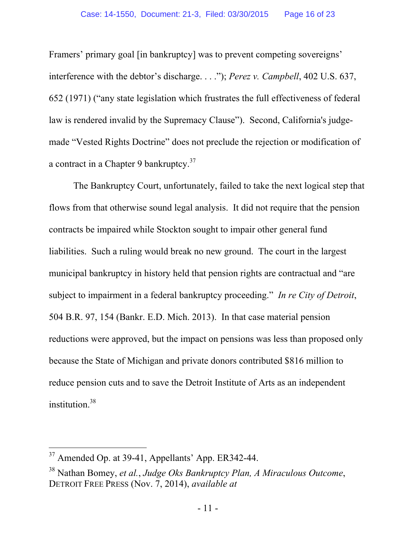Framers' primary goal [in bankruptcy] was to prevent competing sovereigns' interference with the debtor's discharge. . . ."); *Perez v. Campbell*, 402 U.S. 637, 652 (1971) ("any state legislation which frustrates the full effectiveness of federal law is rendered invalid by the Supremacy Clause"). Second, California's judgemade "Vested Rights Doctrine" does not preclude the rejection or modification of a contract in a Chapter 9 bankruptcy.37

The Bankruptcy Court, unfortunately, failed to take the next logical step that flows from that otherwise sound legal analysis. It did not require that the pension contracts be impaired while Stockton sought to impair other general fund liabilities. Such a ruling would break no new ground. The court in the largest municipal bankruptcy in history held that pension rights are contractual and "are subject to impairment in a federal bankruptcy proceeding." *In re City of Detroit*, 504 B.R. 97, 154 (Bankr. E.D. Mich. 2013). In that case material pension reductions were approved, but the impact on pensions was less than proposed only because the State of Michigan and private donors contributed \$816 million to reduce pension cuts and to save the Detroit Institute of Arts as an independent institution.<sup>38</sup>

-

 $37$  Amended Op. at 39-41, Appellants' App. ER342-44.

<sup>38</sup> Nathan Bomey, *et al.*, *Judge Oks Bankruptcy Plan, A Miraculous Outcome*, DETROIT FREE PRESS (Nov. 7, 2014), *available at*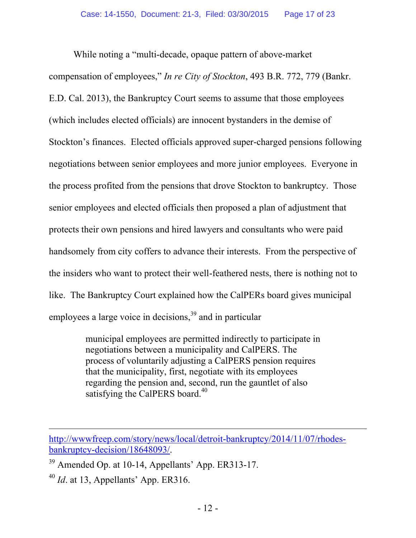While noting a "multi-decade, opaque pattern of above-market compensation of employees," *In re City of Stockton*, 493 B.R. 772, 779 (Bankr. E.D. Cal. 2013), the Bankruptcy Court seems to assume that those employees (which includes elected officials) are innocent bystanders in the demise of Stockton's finances. Elected officials approved super-charged pensions following negotiations between senior employees and more junior employees. Everyone in the process profited from the pensions that drove Stockton to bankruptcy. Those senior employees and elected officials then proposed a plan of adjustment that protects their own pensions and hired lawyers and consultants who were paid handsomely from city coffers to advance their interests. From the perspective of the insiders who want to protect their well-feathered nests, there is nothing not to like. The Bankruptcy Court explained how the CalPERs board gives municipal employees a large voice in decisions,  $39$  and in particular

> municipal employees are permitted indirectly to participate in negotiations between a municipality and CalPERS. The process of voluntarily adjusting a CalPERS pension requires that the municipality, first, negotiate with its employees regarding the pension and, second, run the gauntlet of also satisfying the CalPERS board.<sup>40</sup>

-

http://wwwfreep.com/story/news/local/detroit-bankruptcy/2014/11/07/rhodesbankruptcy-decision/18648093/.

<sup>39</sup> Amended Op. at 10-14, Appellants' App. ER313-17.

 $^{40}$  *Id.* at 13, Appellants' App. ER316.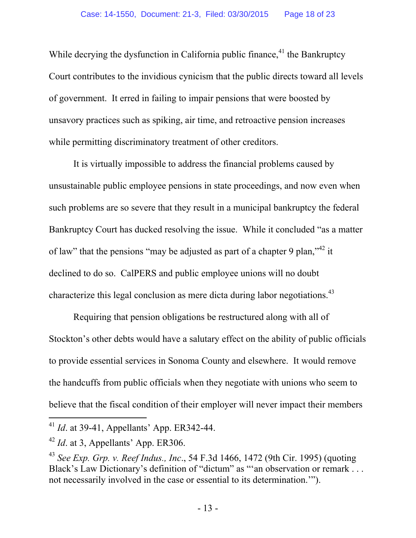While decrying the dysfunction in California public finance,  $41$  the Bankruptcy Court contributes to the invidious cynicism that the public directs toward all levels of government. It erred in failing to impair pensions that were boosted by unsavory practices such as spiking, air time, and retroactive pension increases while permitting discriminatory treatment of other creditors.

It is virtually impossible to address the financial problems caused by unsustainable public employee pensions in state proceedings, and now even when such problems are so severe that they result in a municipal bankruptcy the federal Bankruptcy Court has ducked resolving the issue. While it concluded "as a matter of law" that the pensions "may be adjusted as part of a chapter 9 plan,"<sup>42</sup> it declined to do so. CalPERS and public employee unions will no doubt characterize this legal conclusion as mere dicta during labor negotiations.<sup>43</sup>

Requiring that pension obligations be restructured along with all of Stockton's other debts would have a salutary effect on the ability of public officials to provide essential services in Sonoma County and elsewhere. It would remove the handcuffs from public officials when they negotiate with unions who seem to believe that the fiscal condition of their employer will never impact their members

<sup>41</sup> *Id*. at 39-41, Appellants' App. ER342-44.

<sup>42</sup> *Id*. at 3, Appellants' App. ER306.

<sup>43</sup> *See Exp. Grp. v. Reef Indus., Inc*., 54 F.3d 1466, 1472 (9th Cir. 1995) (quoting Black's Law Dictionary's definition of "dictum" as "'an observation or remark . . . not necessarily involved in the case or essential to its determination.'").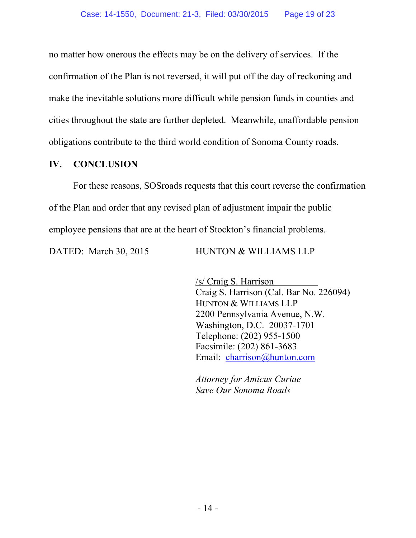no matter how onerous the effects may be on the delivery of services. If the confirmation of the Plan is not reversed, it will put off the day of reckoning and make the inevitable solutions more difficult while pension funds in counties and cities throughout the state are further depleted. Meanwhile, unaffordable pension obligations contribute to the third world condition of Sonoma County roads.

#### **IV. CONCLUSION**

For these reasons, SOSroads requests that this court reverse the confirmation of the Plan and order that any revised plan of adjustment impair the public employee pensions that are at the heart of Stockton's financial problems.

DATED: March 30, 2015 HUNTON & WILLIAMS LLP

/s/ Craig S. Harrison Craig S. Harrison (Cal. Bar No. 226094) HUNTON & WILLIAMS LLP 2200 Pennsylvania Avenue, N.W. Washington, D.C. 20037-1701 Telephone: (202) 955-1500 Facsimile: (202) 861-3683 Email: charrison@hunton.com

 *Attorney for Amicus Curiae Save Our Sonoma Roads*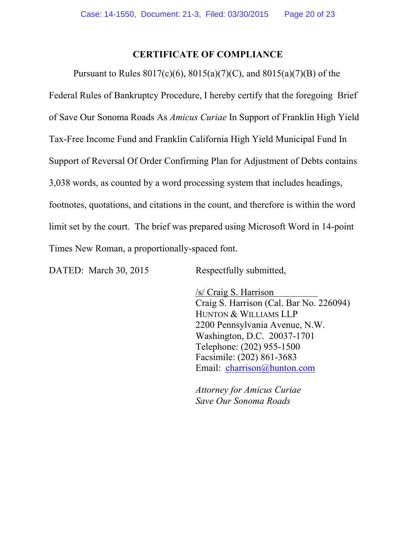### **CERTIFICATE OF COMPLIANCE**

Pursuant to Rules  $8017(c)(6)$ ,  $8015(a)(7)(C)$ , and  $8015(a)(7)(B)$  of the Federal Rules of Bankruptcy Procedure, I hereby certify that the foregoing Brief of Save Our Sonoma Roads As *Amicus Curiae* In Support of Franklin High Yield Tax-Free Income Fund and Franklin California High Yield Municipal Fund In Support of Reversal Of Order Confirming Plan for Adjustment of Debts contains 3,038 words, as counted by a word processing system that includes headings, footnotes, quotations, and citations in the count, and therefore is within the word limit set by the court. The brief was prepared using Microsoft Word in 14-point Times New Roman, a proportionally-spaced font.

DATED: March 30, 2015 Respectfully submitted,

/s/ Craig S. Harrison Craig S. Harrison (Cal. Bar No. 226094) HUNTON & WILLIAMS LLP 2200 Pennsylvania Avenue, N.W. Washington, D.C. 20037-1701 Telephone: (202) 955-1500 Facsimile: (202) 861-3683 Email: charrison@hunton.com

 *Attorney for Amicus Curiae Save Our Sonoma Roads*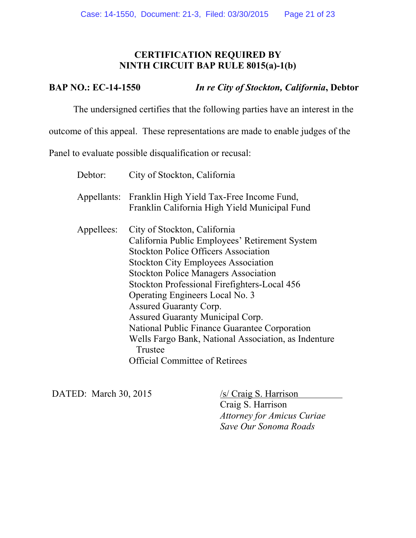### **CERTIFICATION REQUIRED BY NINTH CIRCUIT BAP RULE 8015(a)-1(b)**

## **BAP NO.: EC-14-1550** *In re City of Stockton, California***, Debtor**

The undersigned certifies that the following parties have an interest in the

outcome of this appeal. These representations are made to enable judges of the

Panel to evaluate possible disqualification or recusal:

| Debtor:    | City of Stockton, California                          |
|------------|-------------------------------------------------------|
|            | Appellants: Franklin High Yield Tax-Free Income Fund, |
|            | Franklin California High Yield Municipal Fund         |
| Appellees: | City of Stockton, California                          |
|            | California Public Employees' Retirement System        |
|            | <b>Stockton Police Officers Association</b>           |
|            | <b>Stockton City Employees Association</b>            |
|            | <b>Stockton Police Managers Association</b>           |
|            | Stockton Professional Firefighters-Local 456          |
|            | Operating Engineers Local No. 3                       |
|            | <b>Assured Guaranty Corp.</b>                         |
|            | <b>Assured Guaranty Municipal Corp.</b>               |
|            | National Public Finance Guarantee Corporation         |
|            | Wells Fargo Bank, National Association, as Indenture  |
|            | Trustee                                               |
|            | <b>Official Committee of Retirees</b>                 |

DATED: March 30, 2015 /s/ Craig S. Harrison Craig S. Harrison  *Attorney for Amicus Curiae Save Our Sonoma Roads*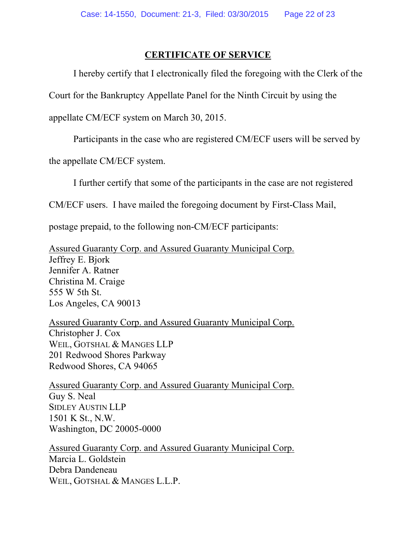#### **CERTIFICATE OF SERVICE**

I hereby certify that I electronically filed the foregoing with the Clerk of the

Court for the Bankruptcy Appellate Panel for the Ninth Circuit by using the

appellate CM/ECF system on March 30, 2015.

Participants in the case who are registered CM/ECF users will be served by

the appellate CM/ECF system.

I further certify that some of the participants in the case are not registered

CM/ECF users. I have mailed the foregoing document by First-Class Mail,

postage prepaid, to the following non-CM/ECF participants:

Assured Guaranty Corp. and Assured Guaranty Municipal Corp. Jeffrey E. Bjork Jennifer A. Ratner Christina M. Craige 555 W 5th St. Los Angeles, CA 90013

Assured Guaranty Corp. and Assured Guaranty Municipal Corp. Christopher J. Cox WEIL, GOTSHAL & MANGES LLP 201 Redwood Shores Parkway Redwood Shores, CA 94065

Assured Guaranty Corp. and Assured Guaranty Municipal Corp. Guy S. Neal SIDLEY AUSTIN LLP 1501 K St., N.W. Washington, DC 20005-0000

Assured Guaranty Corp. and Assured Guaranty Municipal Corp. Marcia L. Goldstein Debra Dandeneau WEIL, GOTSHAL & MANGES L.L.P.